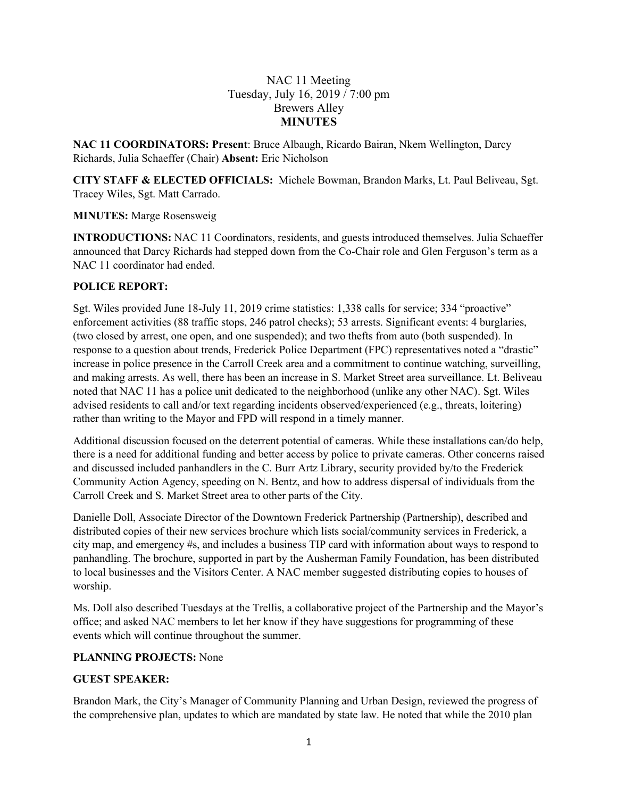## NAC 11 Meeting Tuesday, July 16, 2019 / 7:00 pm Brewers Alley **MINUTES**

**NAC 11 COORDINATORS: Present**: Bruce Albaugh, Ricardo Bairan, Nkem Wellington, Darcy Richards, Julia Schaeffer (Chair) **Absent:** Eric Nicholson

**CITY STAFF & ELECTED OFFICIALS:** Michele Bowman, Brandon Marks, Lt. Paul Beliveau, Sgt. Tracey Wiles, Sgt. Matt Carrado.

#### **MINUTES:** Marge Rosensweig

**INTRODUCTIONS:** NAC 11 Coordinators, residents, and guests introduced themselves. Julia Schaeffer announced that Darcy Richards had stepped down from the Co-Chair role and Glen Ferguson's term as a NAC 11 coordinator had ended.

#### **POLICE REPORT:**

Sgt. Wiles provided June 18-July 11, 2019 crime statistics: 1,338 calls for service; 334 "proactive" enforcement activities (88 traffic stops, 246 patrol checks); 53 arrests. Significant events: 4 burglaries, (two closed by arrest, one open, and one suspended); and two thefts from auto (both suspended). In response to a question about trends, Frederick Police Department (FPC) representatives noted a "drastic" increase in police presence in the Carroll Creek area and a commitment to continue watching, surveilling, and making arrests. As well, there has been an increase in S. Market Street area surveillance. Lt. Beliveau noted that NAC 11 has a police unit dedicated to the neighborhood (unlike any other NAC). Sgt. Wiles advised residents to call and/or text regarding incidents observed/experienced (e.g., threats, loitering) rather than writing to the Mayor and FPD will respond in a timely manner.

Additional discussion focused on the deterrent potential of cameras. While these installations can/do help, there is a need for additional funding and better access by police to private cameras. Other concerns raised and discussed included panhandlers in the C. Burr Artz Library, security provided by/to the Frederick Community Action Agency, speeding on N. Bentz, and how to address dispersal of individuals from the Carroll Creek and S. Market Street area to other parts of the City.

Danielle Doll, Associate Director of the Downtown Frederick Partnership (Partnership), described and distributed copies of their new services brochure which lists social/community services in Frederick, a city map, and emergency #s, and includes a business TIP card with information about ways to respond to panhandling. The brochure, supported in part by the Ausherman Family Foundation, has been distributed to local businesses and the Visitors Center. A NAC member suggested distributing copies to houses of worship.

Ms. Doll also described Tuesdays at the Trellis, a collaborative project of the Partnership and the Mayor's office; and asked NAC members to let her know if they have suggestions for programming of these events which will continue throughout the summer.

## **PLANNING PROJECTS:** None

## **GUEST SPEAKER:**

Brandon Mark, the City's Manager of Community Planning and Urban Design, reviewed the progress of the comprehensive plan, updates to which are mandated by state law. He noted that while the 2010 plan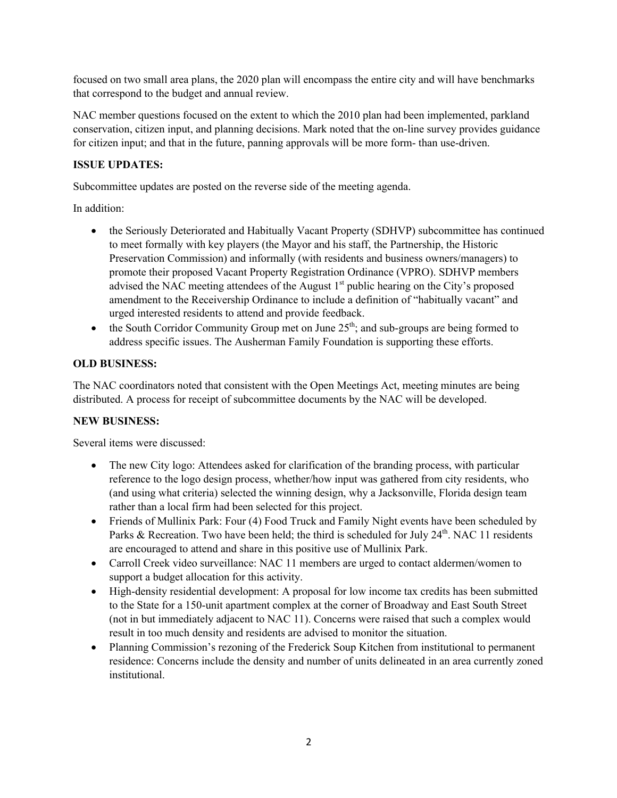focused on two small area plans, the 2020 plan will encompass the entire city and will have benchmarks that correspond to the budget and annual review.

NAC member questions focused on the extent to which the 2010 plan had been implemented, parkland conservation, citizen input, and planning decisions. Mark noted that the on-line survey provides guidance for citizen input; and that in the future, panning approvals will be more form- than use-driven.

## **ISSUE UPDATES:**

Subcommittee updates are posted on the reverse side of the meeting agenda.

In addition:

- the Seriously Deteriorated and Habitually Vacant Property (SDHVP) subcommittee has continued to meet formally with key players (the Mayor and his staff, the Partnership, the Historic Preservation Commission) and informally (with residents and business owners/managers) to promote their proposed Vacant Property Registration Ordinance (VPRO). SDHVP members advised the NAC meeting attendees of the August  $1<sup>st</sup>$  public hearing on the City's proposed amendment to the Receivership Ordinance to include a definition of "habitually vacant" and urged interested residents to attend and provide feedback.
- the South Corridor Community Group met on June  $25<sup>th</sup>$ ; and sub-groups are being formed to address specific issues. The Ausherman Family Foundation is supporting these efforts.

#### **OLD BUSINESS:**

The NAC coordinators noted that consistent with the Open Meetings Act, meeting minutes are being distributed. A process for receipt of subcommittee documents by the NAC will be developed.

## **NEW BUSINESS:**

Several items were discussed:

- The new City logo: Attendees asked for clarification of the branding process, with particular reference to the logo design process, whether/how input was gathered from city residents, who (and using what criteria) selected the winning design, why a Jacksonville, Florida design team rather than a local firm had been selected for this project.
- Friends of Mullinix Park: Four (4) Food Truck and Family Night events have been scheduled by Parks & Recreation. Two have been held; the third is scheduled for July  $24<sup>th</sup>$ . NAC 11 residents are encouraged to attend and share in this positive use of Mullinix Park.
- Carroll Creek video surveillance: NAC 11 members are urged to contact aldermen/women to support a budget allocation for this activity.
- High-density residential development: A proposal for low income tax credits has been submitted to the State for a 150-unit apartment complex at the corner of Broadway and East South Street (not in but immediately adjacent to NAC 11). Concerns were raised that such a complex would result in too much density and residents are advised to monitor the situation.
- Planning Commission's rezoning of the Frederick Soup Kitchen from institutional to permanent residence: Concerns include the density and number of units delineated in an area currently zoned institutional.